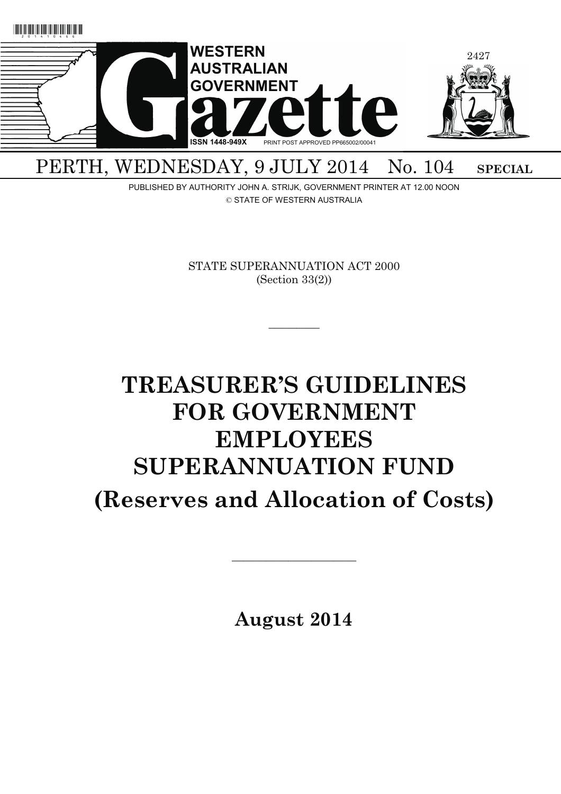

## PERTH, WEDNESDAY, 9 JULY 2014 No. 104 SPECIAL

PUBLISHED BY AUTHORITY JOHN A. STRIJK, GOVERNMENT PRINTER AT 12.00 NOON © STATE OF WESTERN AUSTRALIA

> STATE SUPERANNUATION ACT 2000 (Section 33(2))

> > $\overline{\phantom{a}}$

# **TREASURER'S GUIDELINES FOR GOVERNMENT EMPLOYEES SUPERANNUATION FUND (Reserves and Allocation of Costs)**

**August 2014** 

———————————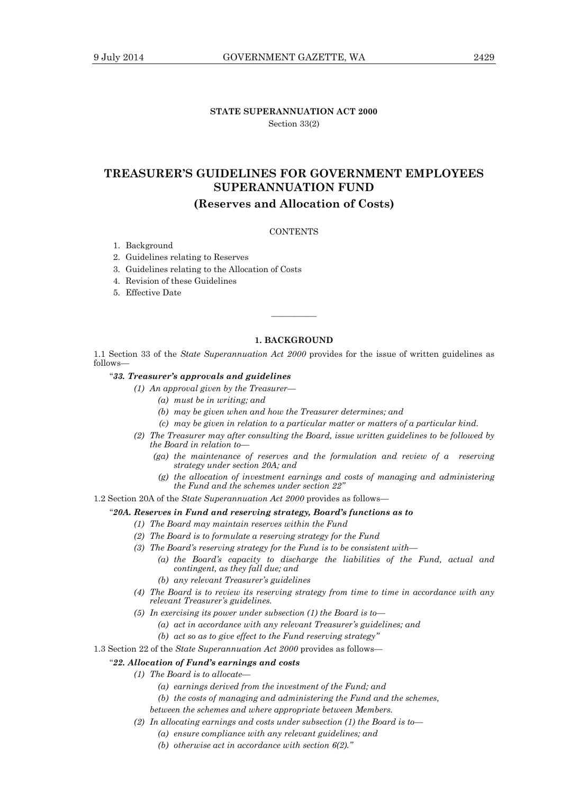## **STATE SUPERANNUATION ACT 2000**  Section 33(2)

## **TREASURER'S GUIDELINES FOR GOVERNMENT EMPLOYEES SUPERANNUATION FUND**

## **(Reserves and Allocation of Costs)**

#### **CONTENTS**

1. Background

#### 2. Guidelines relating to Reserves

- 3. Guidelines relating to the Allocation of Costs
- 4. Revision of these Guidelines
- 5. Effective Date

#### **1. BACKGROUND**

————

1.1 Section 33 of the *State Superannuation Act 2000* provides for the issue of written guidelines as follows—

#### "*33. Treasurer's approvals and guidelines*

 *(1) An approval given by the Treasurer—* 

- *(a) must be in writing; and*
- *(b) may be given when and how the Treasurer determines; and*
- *(c) may be given in relation to a particular matter or matters of a particular kind.*
- *(2) The Treasurer may after consulting the Board, issue written guidelines to be followed by the Board in relation to—* 
	- *(ga) the maintenance of reserves and the formulation and review of a reserving strategy under section 20A; and*
	- *(g) the allocation of investment earnings and costs of managing and administering the Fund and the schemes under section 22"*
- 1.2 Section 20A of the *State Superannuation Act 2000* provides as follows—

#### "*20A. Reserves in Fund and reserving strategy, Board's functions as to*

- *(1) The Board may maintain reserves within the Fund*
- *(2) The Board is to formulate a reserving strategy for the Fund*
- *(3) The Board's reserving strategy for the Fund is to be consistent with—* 
	- *(a) the Board's capacity to discharge the liabilities of the Fund, actual and contingent, as they fall due; and*
	- *(b) any relevant Treasurer's guidelines*
- *(4) The Board is to review its reserving strategy from time to time in accordance with any relevant Treasurer's guidelines.*
- *(5) In exercising its power under subsection (1) the Board is to—* 
	- *(a) act in accordance with any relevant Treasurer's guidelines; and* 
		- *(b) act so as to give effect to the Fund reserving strategy"*
- 1.3 Section 22 of the *State Superannuation Act 2000* provides as follows—

#### "*22. Allocation of Fund's earnings and costs*

- *(1) The Board is to allocate—* 
	- *(a) earnings derived from the investment of the Fund; and*
	- *(b) the costs of managing and administering the Fund and the schemes,*
	- *between the schemes and where appropriate between Members.*
- *(2) In allocating earnings and costs under subsection (1) the Board is to—* 
	- *(a) ensure compliance with any relevant guidelines; and*
	- *(b) otherwise act in accordance with section 6(2)."*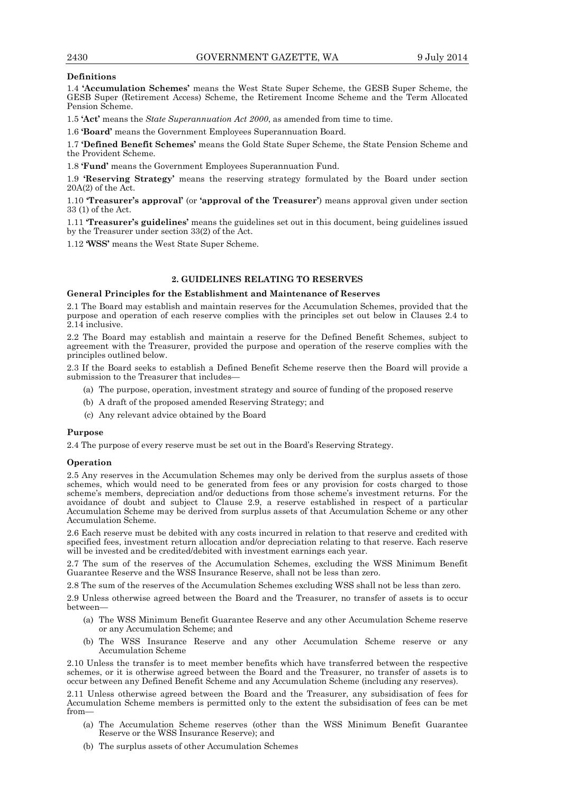#### **Definitions**

1.4 **'Accumulation Schemes'** means the West State Super Scheme, the GESB Super Scheme, the GESB Super (Retirement Access) Scheme, the Retirement Income Scheme and the Term Allocated Pension Scheme.

1.5 **'Act'** means the *State Superannuation Act 2000*, as amended from time to time.

1.6 **'Board'** means the Government Employees Superannuation Board.

1.7 **'Defined Benefit Schemes'** means the Gold State Super Scheme, the State Pension Scheme and the Provident Scheme.

1.8 **'Fund'** means the Government Employees Superannuation Fund.

1.9 **'Reserving Strategy'** means the reserving strategy formulated by the Board under section 20A(2) of the Act.

1.10 **'Treasurer's approval'** (or **'approval of the Treasurer'**) means approval given under section 33 (1) of the Act.

1.11 **'Treasurer's guidelines'** means the guidelines set out in this document, being guidelines issued by the Treasurer under section 33(2) of the Act.

1.12 **'WSS'** means the West State Super Scheme.

### **2. GUIDELINES RELATING TO RESERVES**

#### **General Principles for the Establishment and Maintenance of Reserves**

2.1 The Board may establish and maintain reserves for the Accumulation Schemes, provided that the purpose and operation of each reserve complies with the principles set out below in Clauses 2.4 to 2.14 inclusive.

2.2 The Board may establish and maintain a reserve for the Defined Benefit Schemes, subject to agreement with the Treasurer, provided the purpose and operation of the reserve complies with the principles outlined below.

2.3 If the Board seeks to establish a Defined Benefit Scheme reserve then the Board will provide a submission to the Treasurer that includes—

- (a) The purpose, operation, investment strategy and source of funding of the proposed reserve
- (b) A draft of the proposed amended Reserving Strategy; and
- (c) Any relevant advice obtained by the Board

#### **Purpose**

2.4 The purpose of every reserve must be set out in the Board's Reserving Strategy.

#### **Operation**

2.5 Any reserves in the Accumulation Schemes may only be derived from the surplus assets of those schemes, which would need to be generated from fees or any provision for costs charged to those scheme's members, depreciation and/or deductions from those scheme's investment returns. For the avoidance of doubt and subject to Clause 2.9, a reserve established in respect of a particular Accumulation Scheme may be derived from surplus assets of that Accumulation Scheme or any other Accumulation Scheme.

2.6 Each reserve must be debited with any costs incurred in relation to that reserve and credited with specified fees, investment return allocation and/or depreciation relating to that reserve. Each reserve will be invested and be credited/debited with investment earnings each year.

2.7 The sum of the reserves of the Accumulation Schemes, excluding the WSS Minimum Benefit Guarantee Reserve and the WSS Insurance Reserve, shall not be less than zero.

2.8 The sum of the reserves of the Accumulation Schemes excluding WSS shall not be less than zero.

2.9 Unless otherwise agreed between the Board and the Treasurer, no transfer of assets is to occur between—

- (a) The WSS Minimum Benefit Guarantee Reserve and any other Accumulation Scheme reserve or any Accumulation Scheme; and
- (b) The WSS Insurance Reserve and any other Accumulation Scheme reserve or any Accumulation Scheme

2.10 Unless the transfer is to meet member benefits which have transferred between the respective schemes, or it is otherwise agreed between the Board and the Treasurer, no transfer of assets is to occur between any Defined Benefit Scheme and any Accumulation Scheme (including any reserves).

2.11 Unless otherwise agreed between the Board and the Treasurer, any subsidisation of fees for Accumulation Scheme members is permitted only to the extent the subsidisation of fees can be met from—

- (a) The Accumulation Scheme reserves (other than the WSS Minimum Benefit Guarantee Reserve or the WSS Insurance Reserve); and
- (b) The surplus assets of other Accumulation Schemes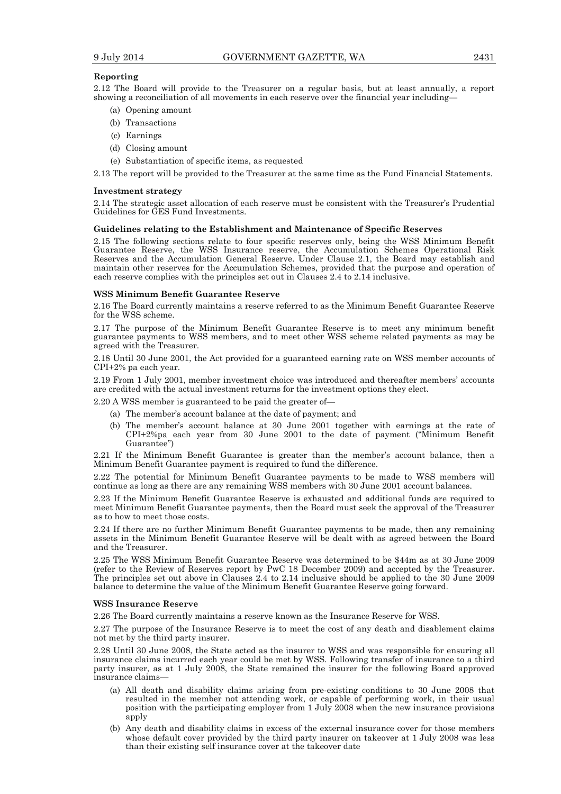#### **Reporting**

2.12 The Board will provide to the Treasurer on a regular basis, but at least annually, a report showing a reconciliation of all movements in each reserve over the financial year including—

- (a) Opening amount
- (b) Transactions
- (c) Earnings
- (d) Closing amount
- (e) Substantiation of specific items, as requested

2.13 The report will be provided to the Treasurer at the same time as the Fund Financial Statements.

#### **Investment strategy**

2.14 The strategic asset allocation of each reserve must be consistent with the Treasurer's Prudential Guidelines for GES Fund Investments.

#### **Guidelines relating to the Establishment and Maintenance of Specific Reserves**

2.15 The following sections relate to four specific reserves only, being the WSS Minimum Benefit Guarantee Reserve, the WSS Insurance reserve, the Accumulation Schemes Operational Risk Reserves and the Accumulation General Reserve. Under Clause 2.1, the Board may establish and maintain other reserves for the Accumulation Schemes, provided that the purpose and operation of each reserve complies with the principles set out in Clauses 2.4 to 2.14 inclusive.

#### **WSS Minimum Benefit Guarantee Reserve**

2.16 The Board currently maintains a reserve referred to as the Minimum Benefit Guarantee Reserve for the WSS scheme.

2.17 The purpose of the Minimum Benefit Guarantee Reserve is to meet any minimum benefit guarantee payments to WSS members, and to meet other WSS scheme related payments as may be agreed with the Treasurer.

2.18 Until 30 June 2001, the Act provided for a guaranteed earning rate on WSS member accounts of CPI+2% pa each year.

2.19 From 1 July 2001, member investment choice was introduced and thereafter members' accounts are credited with the actual investment returns for the investment options they elect.

2.20 A WSS member is guaranteed to be paid the greater of—

- (a) The member's account balance at the date of payment; and
- (b) The member's account balance at 30 June 2001 together with earnings at the rate of CPI+2%pa each year from 30 June 2001 to the date of payment ("Minimum Benefit Guarantee")

2.21 If the Minimum Benefit Guarantee is greater than the member's account balance, then a Minimum Benefit Guarantee payment is required to fund the difference.

2.22 The potential for Minimum Benefit Guarantee payments to be made to WSS members will continue as long as there are any remaining WSS members with 30 June 2001 account balances.

2.23 If the Minimum Benefit Guarantee Reserve is exhausted and additional funds are required to meet Minimum Benefit Guarantee payments, then the Board must seek the approval of the Treasurer as to how to meet those costs.

2.24 If there are no further Minimum Benefit Guarantee payments to be made, then any remaining assets in the Minimum Benefit Guarantee Reserve will be dealt with as agreed between the Board and the Treasurer.

2.25 The WSS Minimum Benefit Guarantee Reserve was determined to be \$44m as at 30 June 2009 (refer to the Review of Reserves report by PwC 18 December 2009) and accepted by the Treasurer. The principles set out above in Clauses 2.4 to 2.14 inclusive should be applied to the 30 June 2009 balance to determine the value of the Minimum Benefit Guarantee Reserve going forward.

#### **WSS Insurance Reserve**

2.26 The Board currently maintains a reserve known as the Insurance Reserve for WSS.

2.27 The purpose of the Insurance Reserve is to meet the cost of any death and disablement claims not met by the third party insurer.

2.28 Until 30 June 2008, the State acted as the insurer to WSS and was responsible for ensuring all insurance claims incurred each year could be met by WSS. Following transfer of insurance to a third party insurer, as at 1 July 2008, the State remained the insurer for the following Board approved insurance claims—

- (a) All death and disability claims arising from pre-existing conditions to 30 June 2008 that resulted in the member not attending work, or capable of performing work, in their usual position with the participating employer from 1 July 2008 when the new insurance provisions apply
- (b) Any death and disability claims in excess of the external insurance cover for those members whose default cover provided by the third party insurer on takeover at 1 July 2008 was less than their existing self insurance cover at the takeover date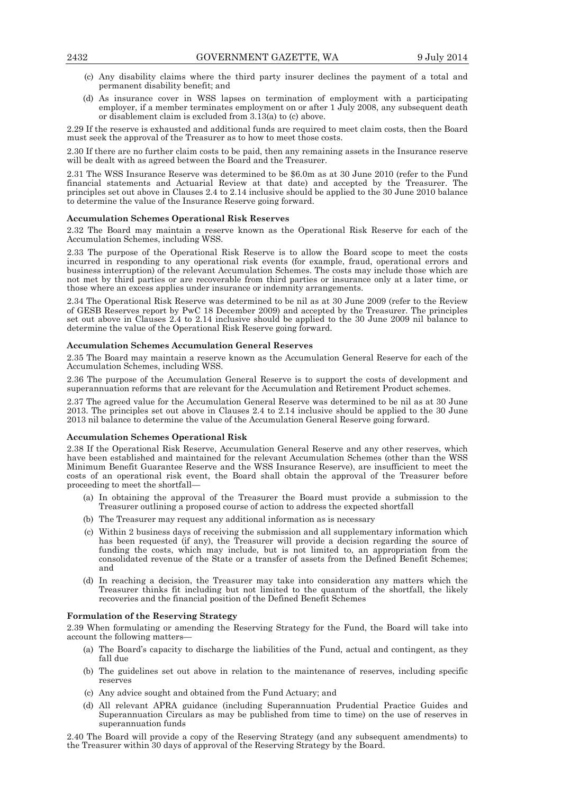- (c) Any disability claims where the third party insurer declines the payment of a total and permanent disability benefit; and
- (d) As insurance cover in WSS lapses on termination of employment with a participating employer, if a member terminates employment on or after 1 July 2008, any subsequent death or disablement claim is excluded from 3.13(a) to (c) above.

2.29 If the reserve is exhausted and additional funds are required to meet claim costs, then the Board must seek the approval of the Treasurer as to how to meet those costs.

2.30 If there are no further claim costs to be paid, then any remaining assets in the Insurance reserve will be dealt with as agreed between the Board and the Treasurer.

2.31 The WSS Insurance Reserve was determined to be \$6.0m as at 30 June 2010 (refer to the Fund financial statements and Actuarial Review at that date) and accepted by the Treasurer. The principles set out above in Clauses 2.4 to 2.14 inclusive should be applied to the 30 June 2010 balance to determine the value of the Insurance Reserve going forward.

#### **Accumulation Schemes Operational Risk Reserves**

2.32 The Board may maintain a reserve known as the Operational Risk Reserve for each of the Accumulation Schemes, including WSS.

2.33 The purpose of the Operational Risk Reserve is to allow the Board scope to meet the costs incurred in responding to any operational risk events (for example, fraud, operational errors and business interruption) of the relevant Accumulation Schemes. The costs may include those which are not met by third parties or are recoverable from third parties or insurance only at a later time, or those where an excess applies under insurance or indemnity arrangements.

2.34 The Operational Risk Reserve was determined to be nil as at 30 June 2009 (refer to the Review of GESB Reserves report by PwC 18 December 2009) and accepted by the Treasurer. The principles set out above in Clauses 2.4 to 2.14 inclusive should be applied to the 30 June 2009 nil balance to determine the value of the Operational Risk Reserve going forward.

#### **Accumulation Schemes Accumulation General Reserves**

2.35 The Board may maintain a reserve known as the Accumulation General Reserve for each of the Accumulation Schemes, including WSS.

2.36 The purpose of the Accumulation General Reserve is to support the costs of development and superannuation reforms that are relevant for the Accumulation and Retirement Product schemes.

2.37 The agreed value for the Accumulation General Reserve was determined to be nil as at 30 June 2013. The principles set out above in Clauses 2.4 to 2.14 inclusive should be applied to the 30 June 2013 nil balance to determine the value of the Accumulation General Reserve going forward.

#### **Accumulation Schemes Operational Risk**

2.38 If the Operational Risk Reserve, Accumulation General Reserve and any other reserves, which have been established and maintained for the relevant Accumulation Schemes (other than the WSS Minimum Benefit Guarantee Reserve and the WSS Insurance Reserve), are insufficient to meet the costs of an operational risk event, the Board shall obtain the approval of the Treasurer before proceeding to meet the shortfall—

- (a) In obtaining the approval of the Treasurer the Board must provide a submission to the Treasurer outlining a proposed course of action to address the expected shortfall
- (b) The Treasurer may request any additional information as is necessary
- (c) Within 2 business days of receiving the submission and all supplementary information which has been requested (if any), the Treasurer will provide a decision regarding the source of funding the costs, which may include, but is not limited to, an appropriation from the consolidated revenue of the State or a transfer of assets from the Defined Benefit Schemes; and
- (d) In reaching a decision, the Treasurer may take into consideration any matters which the Treasurer thinks fit including but not limited to the quantum of the shortfall, the likely recoveries and the financial position of the Defined Benefit Schemes

#### **Formulation of the Reserving Strategy**

2.39 When formulating or amending the Reserving Strategy for the Fund, the Board will take into account the following matters—

- (a) The Board's capacity to discharge the liabilities of the Fund, actual and contingent, as they fall due
- (b) The guidelines set out above in relation to the maintenance of reserves, including specific reserves
- (c) Any advice sought and obtained from the Fund Actuary; and
- (d) All relevant APRA guidance (including Superannuation Prudential Practice Guides and Superannuation Circulars as may be published from time to time) on the use of reserves in superannuation funds

2.40 The Board will provide a copy of the Reserving Strategy (and any subsequent amendments) to the Treasurer within 30 days of approval of the Reserving Strategy by the Board.